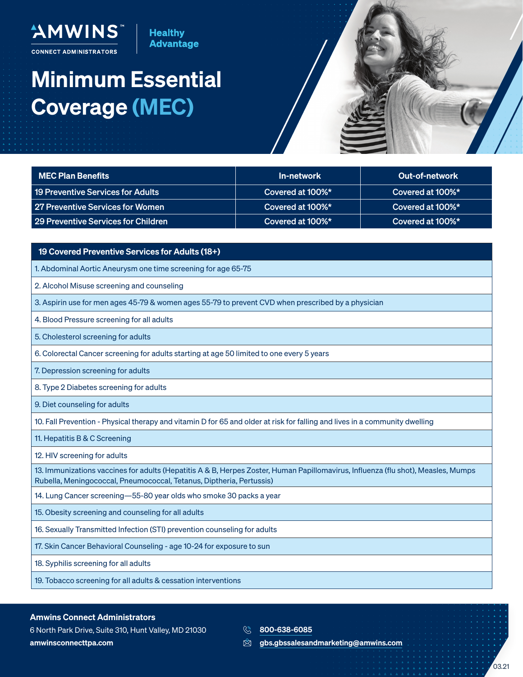**Healthy Advantage** 

**CONNECT ADMINISTRATOR** 

"AMWINS

## Minimum Essential Coverage (MEC)



| MEC Plan Benefits                   | In-network       | <b>Out-of-network</b> |
|-------------------------------------|------------------|-----------------------|
| 19 Preventive Services for Adults   | Covered at 100%* | Covered at 100%*      |
| 27 Preventive Services for Women    | Covered at 100%* | Covered at 100%*      |
| 29 Preventive Services for Children | Covered at 100%* | Covered at 100%*      |

## 19 Covered Preventive Services for Adults (18+)

1. Abdominal Aortic Aneurysm one time screening for age 65-75

2. Alcohol Misuse screening and counseling

3. Aspirin use for men ages 45-79 & women ages 55-79 to prevent CVD when prescribed by a physician

4. Blood Pressure screening for all adults

5. Cholesterol screening for adults

6. Colorectal Cancer screening for adults starting at age 50 limited to one every 5 years

7. Depression screening for adults

8. Type 2 Diabetes screening for adults

9. Diet counseling for adults

10. Fall Prevention - Physical therapy and vitamin D for 65 and older at risk for falling and lives in a community dwelling

11. Hepatitis B & C Screening

12. HIV screening for adults

13. Immunizations vaccines for adults (Hepatitis A & B, Herpes Zoster, Human Papillomavirus, Influenza (flu shot), Measles, Mumps Rubella, Meningococcal, Pneumococcal, Tetanus, Diptheria, Pertussis)

14. Lung Cancer screening—55-80 year olds who smoke 30 packs a year

15. Obesity screening and counseling for all adults

16. Sexually Transmitted Infection (STI) prevention counseling for adults

17. Skin Cancer Behavioral Counseling - age 10-24 for exposure to sun

18. Syphilis screening for all adults

19. Tobacco screening for all adults & cessation interventions

## Amwins Connect Administrators

6 North Park Drive, Suite 310, Hunt Valley, MD 21030 amwinsconnecttpa.com

- **800-638-6085**
- $\otimes$  gbs.gbssalesandmarketing@amwins.com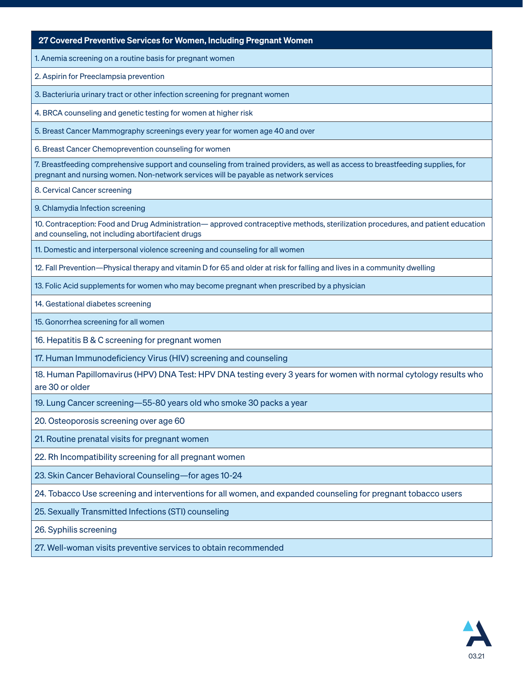27 Covered Preventive Services for Women, Including Pregnant Women

1. Anemia screening on a routine basis for pregnant women

2. Aspirin for Preeclampsia prevention

3. Bacteriuria urinary tract or other infection screening for pregnant women

4. BRCA counseling and genetic testing for women at higher risk

5. Breast Cancer Mammography screenings every year for women age 40 and over

6. Breast Cancer Chemoprevention counseling for women

7. Breastfeeding comprehensive support and counseling from trained providers, as well as access to breastfeeding supplies, for pregnant and nursing women. Non-network services will be payable as network services

8. Cervical Cancer screening

9. Chlamydia Infection screening

10. Contraception: Food and Drug Administration— approved contraceptive methods, sterilization procedures, and patient education and counseling, not including abortifacient drugs

11. Domestic and interpersonal violence screening and counseling for all women

12. Fall Prevention—Physical therapy and vitamin D for 65 and older at risk for falling and lives in a community dwelling

13. Folic Acid supplements for women who may become pregnant when prescribed by a physician

14. Gestational diabetes screening

15. Gonorrhea screening for all women

16. Hepatitis B & C screening for pregnant women

17. Human Immunodeficiency Virus (HIV) screening and counseling

18. Human Papillomavirus (HPV) DNA Test: HPV DNA testing every 3 years for women with normal cytology results who are 30 or older

19. Lung Cancer screening—55-80 years old who smoke 30 packs a year

20. Osteoporosis screening over age 60

21. Routine prenatal visits for pregnant women

22. Rh Incompatibility screening for all pregnant women

23. Skin Cancer Behavioral Counseling—for ages 10-24

24. Tobacco Use screening and interventions for all women, and expanded counseling for pregnant tobacco users

25. Sexually Transmitted Infections (STI) counseling

26. Syphilis screening

27. Well-woman visits preventive services to obtain recommended